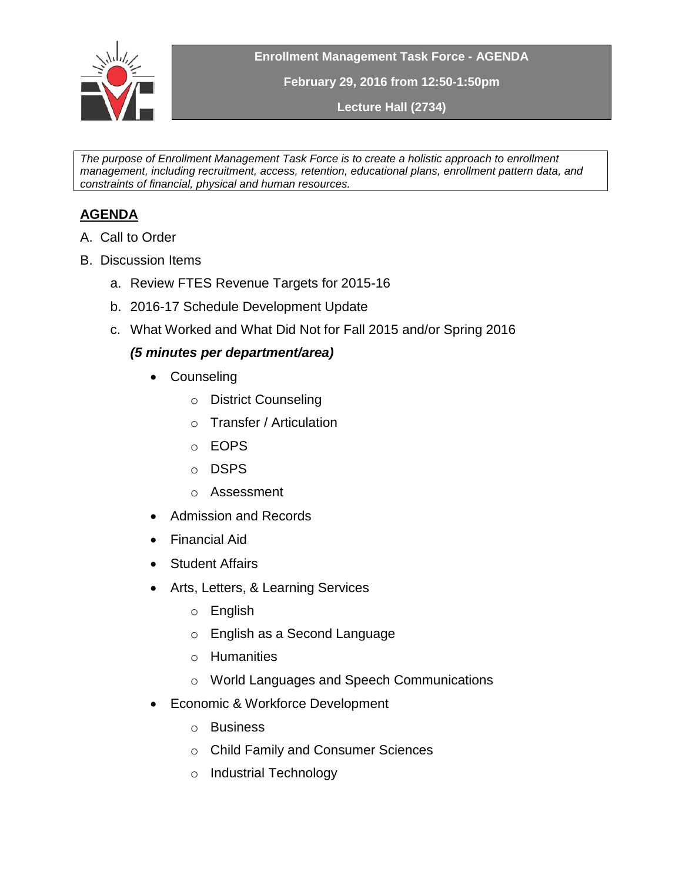

**Enrollment Management Task Force - AGENDA**

**February 29, 2016 from 12:50-1:50pm**

**Lecture Hall (2734)**

*The purpose of Enrollment Management Task Force is to create a holistic approach to enrollment management, including recruitment, access, retention, educational plans, enrollment pattern data, and constraints of financial, physical and human resources.* 

## **AGENDA**

- A. Call to Order
- B. Discussion Items
	- a. Review FTES Revenue Targets for 2015-16
	- b. 2016-17 Schedule Development Update
	- c. What Worked and What Did Not for Fall 2015 and/or Spring 2016

## *(5 minutes per department/area)*

- Counseling
	- o District Counseling
	- o Transfer / Articulation
	- o EOPS
	- o DSPS
	- o Assessment
- Admission and Records
- Financial Aid
- Student Affairs
- Arts, Letters, & Learning Services
	- o English
	- o English as a Second Language
	- o Humanities
	- o World Languages and Speech Communications
- Economic & Workforce Development
	- o Business
	- o Child Family and Consumer Sciences
	- o Industrial Technology